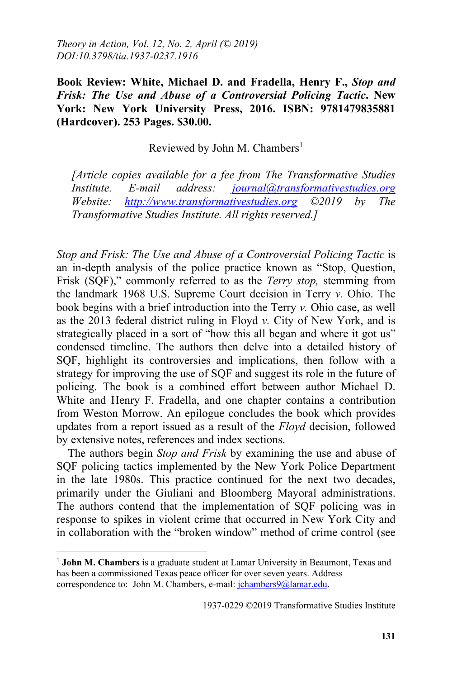**Book Review: White, Michael D. and Fradella, Henry F.,** *Stop and Frisk: The Use and Abuse of a Controversial Policing Tactic***. New York: New York University Press, 2016. ISBN: 9781479835881 (Hardcover). 253 Pages. \$30.00.** 

Reviewed by John M. Chambers<sup>1</sup>

*[Article copies available for a fee from The Transformative Studies Institute. E-mail address: journal@transformativestudies.org Website: http://www.transformativestudies.org ©2019 by The Transformative Studies Institute. All rights reserved.]*

*Stop and Frisk: The Use and Abuse of a Controversial Policing Tactic* is an in-depth analysis of the police practice known as "Stop, Question, Frisk (SQF)," commonly referred to as the *Terry stop,* stemming from the landmark 1968 U.S. Supreme Court decision in Terry *v.* Ohio. The book begins with a brief introduction into the Terry *v.* Ohio case, as well as the 2013 federal district ruling in Floyd *v.* City of New York, and is strategically placed in a sort of "how this all began and where it got us" condensed timeline. The authors then delve into a detailed history of SQF, highlight its controversies and implications, then follow with a strategy for improving the use of SQF and suggest its role in the future of policing. The book is a combined effort between author Michael D. White and Henry F. Fradella, and one chapter contains a contribution from Weston Morrow. An epilogue concludes the book which provides updates from a report issued as a result of the *Floyd* decision, followed by extensive notes, references and index sections.

The authors begin *Stop and Frisk* by examining the use and abuse of SQF policing tactics implemented by the New York Police Department in the late 1980s. This practice continued for the next two decades, primarily under the Giuliani and Bloomberg Mayoral administrations. The authors contend that the implementation of SQF policing was in response to spikes in violent crime that occurred in New York City and in collaboration with the "broken window" method of crime control (see

 $\overline{a}$ 

<sup>1</sup> **John M. Chambers** is a graduate student at Lamar University in Beaumont, Texas and has been a commissioned Texas peace officer for over seven years. Address correspondence to: John M. Chambers, e-mail: jchambers9@lamar.edu.

<sup>1937-0229 ©2019</sup> Transformative Studies Institute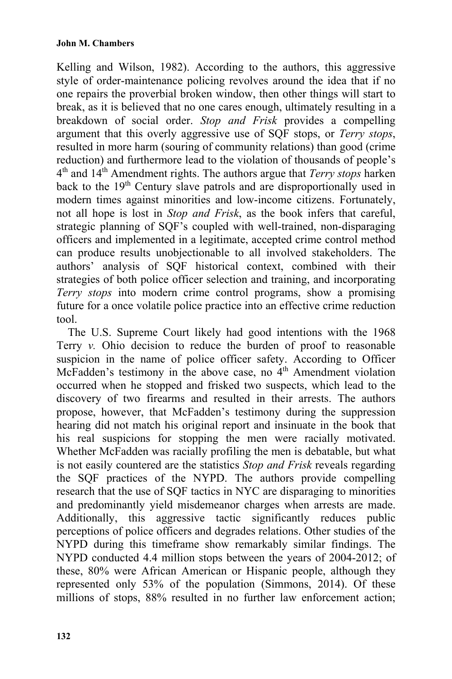Kelling and Wilson, 1982). According to the authors, this aggressive style of order-maintenance policing revolves around the idea that if no one repairs the proverbial broken window, then other things will start to break, as it is believed that no one cares enough, ultimately resulting in a breakdown of social order. *Stop and Frisk* provides a compelling argument that this overly aggressive use of SQF stops, or *Terry stops*, resulted in more harm (souring of community relations) than good (crime reduction) and furthermore lead to the violation of thousands of people's 4th and 14th Amendment rights. The authors argue that *Terry stops* harken back to the 19<sup>th</sup> Century slave patrols and are disproportionally used in modern times against minorities and low-income citizens. Fortunately, not all hope is lost in *Stop and Frisk*, as the book infers that careful, strategic planning of SQF's coupled with well-trained, non-disparaging officers and implemented in a legitimate, accepted crime control method can produce results unobjectionable to all involved stakeholders. The authors' analysis of SQF historical context, combined with their strategies of both police officer selection and training, and incorporating *Terry stops* into modern crime control programs, show a promising future for a once volatile police practice into an effective crime reduction tool.

The U.S. Supreme Court likely had good intentions with the 1968 Terry *v.* Ohio decision to reduce the burden of proof to reasonable suspicion in the name of police officer safety. According to Officer McFadden's testimony in the above case, no  $4<sup>th</sup>$  Amendment violation occurred when he stopped and frisked two suspects, which lead to the discovery of two firearms and resulted in their arrests. The authors propose, however, that McFadden's testimony during the suppression hearing did not match his original report and insinuate in the book that his real suspicions for stopping the men were racially motivated. Whether McFadden was racially profiling the men is debatable, but what is not easily countered are the statistics *Stop and Frisk* reveals regarding the SQF practices of the NYPD. The authors provide compelling research that the use of SQF tactics in NYC are disparaging to minorities and predominantly yield misdemeanor charges when arrests are made. Additionally, this aggressive tactic significantly reduces public perceptions of police officers and degrades relations. Other studies of the NYPD during this timeframe show remarkably similar findings. The NYPD conducted 4.4 million stops between the years of 2004-2012; of these, 80% were African American or Hispanic people, although they represented only 53% of the population (Simmons, 2014). Of these millions of stops, 88% resulted in no further law enforcement action;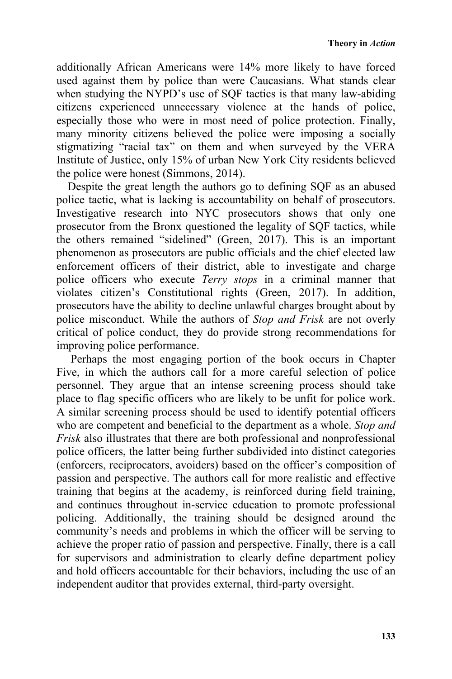additionally African Americans were 14% more likely to have forced used against them by police than were Caucasians. What stands clear when studying the NYPD's use of SQF tactics is that many law-abiding citizens experienced unnecessary violence at the hands of police, especially those who were in most need of police protection. Finally, many minority citizens believed the police were imposing a socially stigmatizing "racial tax" on them and when surveyed by the VERA Institute of Justice, only 15% of urban New York City residents believed the police were honest (Simmons, 2014).

Despite the great length the authors go to defining SQF as an abused police tactic, what is lacking is accountability on behalf of prosecutors. Investigative research into NYC prosecutors shows that only one prosecutor from the Bronx questioned the legality of SQF tactics, while the others remained "sidelined" (Green, 2017). This is an important phenomenon as prosecutors are public officials and the chief elected law enforcement officers of their district, able to investigate and charge police officers who execute *Terry stops* in a criminal manner that violates citizen's Constitutional rights (Green, 2017). In addition, prosecutors have the ability to decline unlawful charges brought about by police misconduct. While the authors of *Stop and Frisk* are not overly critical of police conduct, they do provide strong recommendations for improving police performance.

 Perhaps the most engaging portion of the book occurs in Chapter Five, in which the authors call for a more careful selection of police personnel. They argue that an intense screening process should take place to flag specific officers who are likely to be unfit for police work. A similar screening process should be used to identify potential officers who are competent and beneficial to the department as a whole. *Stop and Frisk* also illustrates that there are both professional and nonprofessional police officers, the latter being further subdivided into distinct categories (enforcers, reciprocators, avoiders) based on the officer's composition of passion and perspective. The authors call for more realistic and effective training that begins at the academy, is reinforced during field training, and continues throughout in-service education to promote professional policing. Additionally, the training should be designed around the community's needs and problems in which the officer will be serving to achieve the proper ratio of passion and perspective. Finally, there is a call for supervisors and administration to clearly define department policy and hold officers accountable for their behaviors, including the use of an independent auditor that provides external, third-party oversight.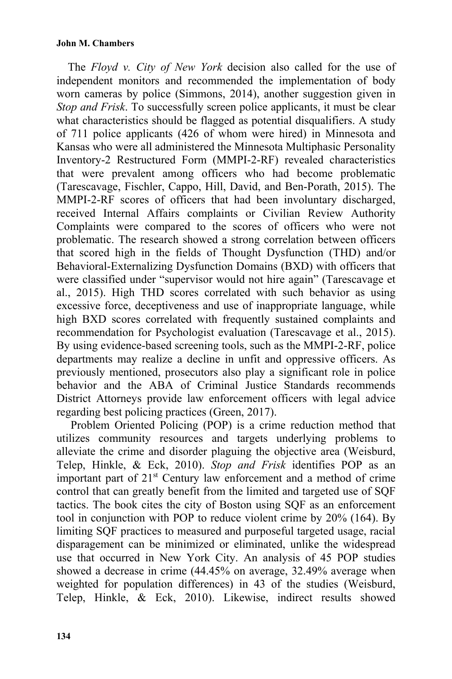## **John M. Chambers**

The *Floyd v. City of New York* decision also called for the use of independent monitors and recommended the implementation of body worn cameras by police (Simmons, 2014), another suggestion given in *Stop and Frisk*. To successfully screen police applicants, it must be clear what characteristics should be flagged as potential disqualifiers. A study of 711 police applicants (426 of whom were hired) in Minnesota and Kansas who were all administered the Minnesota Multiphasic Personality Inventory-2 Restructured Form (MMPI-2-RF) revealed characteristics that were prevalent among officers who had become problematic (Tarescavage, Fischler, Cappo, Hill, David, and Ben-Porath, 2015). The MMPI-2-RF scores of officers that had been involuntary discharged, received Internal Affairs complaints or Civilian Review Authority Complaints were compared to the scores of officers who were not problematic. The research showed a strong correlation between officers that scored high in the fields of Thought Dysfunction (THD) and/or Behavioral-Externalizing Dysfunction Domains (BXD) with officers that were classified under "supervisor would not hire again" (Tarescavage et al., 2015). High THD scores correlated with such behavior as using excessive force, deceptiveness and use of inappropriate language, while high BXD scores correlated with frequently sustained complaints and recommendation for Psychologist evaluation (Tarescavage et al., 2015). By using evidence-based screening tools, such as the MMPI-2-RF, police departments may realize a decline in unfit and oppressive officers. As previously mentioned, prosecutors also play a significant role in police behavior and the ABA of Criminal Justice Standards recommends District Attorneys provide law enforcement officers with legal advice regarding best policing practices (Green, 2017).

 Problem Oriented Policing (POP) is a crime reduction method that utilizes community resources and targets underlying problems to alleviate the crime and disorder plaguing the objective area (Weisburd, Telep, Hinkle, & Eck, 2010). *Stop and Frisk* identifies POP as an important part of 21<sup>st</sup> Century law enforcement and a method of crime control that can greatly benefit from the limited and targeted use of SQF tactics. The book cites the city of Boston using SQF as an enforcement tool in conjunction with POP to reduce violent crime by 20% (164). By limiting SQF practices to measured and purposeful targeted usage, racial disparagement can be minimized or eliminated, unlike the widespread use that occurred in New York City. An analysis of 45 POP studies showed a decrease in crime (44.45% on average, 32.49% average when weighted for population differences) in 43 of the studies (Weisburd, Telep, Hinkle, & Eck, 2010). Likewise, indirect results showed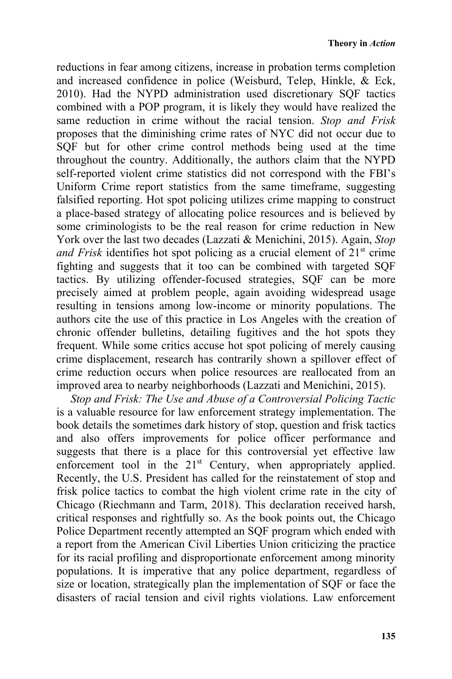reductions in fear among citizens, increase in probation terms completion and increased confidence in police (Weisburd, Telep, Hinkle, & Eck, 2010). Had the NYPD administration used discretionary SQF tactics combined with a POP program, it is likely they would have realized the same reduction in crime without the racial tension. *Stop and Frisk* proposes that the diminishing crime rates of NYC did not occur due to SQF but for other crime control methods being used at the time throughout the country. Additionally, the authors claim that the NYPD self-reported violent crime statistics did not correspond with the FBI's Uniform Crime report statistics from the same timeframe, suggesting falsified reporting. Hot spot policing utilizes crime mapping to construct a place-based strategy of allocating police resources and is believed by some criminologists to be the real reason for crime reduction in New York over the last two decades (Lazzati & Menichini, 2015). Again, *Stop and Frisk* identifies hot spot policing as a crucial element of 21<sup>st</sup> crime fighting and suggests that it too can be combined with targeted SQF tactics. By utilizing offender-focused strategies, SQF can be more precisely aimed at problem people, again avoiding widespread usage resulting in tensions among low-income or minority populations. The authors cite the use of this practice in Los Angeles with the creation of chronic offender bulletins, detailing fugitives and the hot spots they frequent. While some critics accuse hot spot policing of merely causing crime displacement, research has contrarily shown a spillover effect of crime reduction occurs when police resources are reallocated from an improved area to nearby neighborhoods (Lazzati and Menichini, 2015).

*Stop and Frisk: The Use and Abuse of a Controversial Policing Tactic*  is a valuable resource for law enforcement strategy implementation. The book details the sometimes dark history of stop, question and frisk tactics and also offers improvements for police officer performance and suggests that there is a place for this controversial yet effective law enforcement tool in the 21<sup>st</sup> Century, when appropriately applied. Recently, the U.S. President has called for the reinstatement of stop and frisk police tactics to combat the high violent crime rate in the city of Chicago (Riechmann and Tarm, 2018). This declaration received harsh, critical responses and rightfully so. As the book points out, the Chicago Police Department recently attempted an SQF program which ended with a report from the American Civil Liberties Union criticizing the practice for its racial profiling and disproportionate enforcement among minority populations. It is imperative that any police department, regardless of size or location, strategically plan the implementation of SQF or face the disasters of racial tension and civil rights violations. Law enforcement